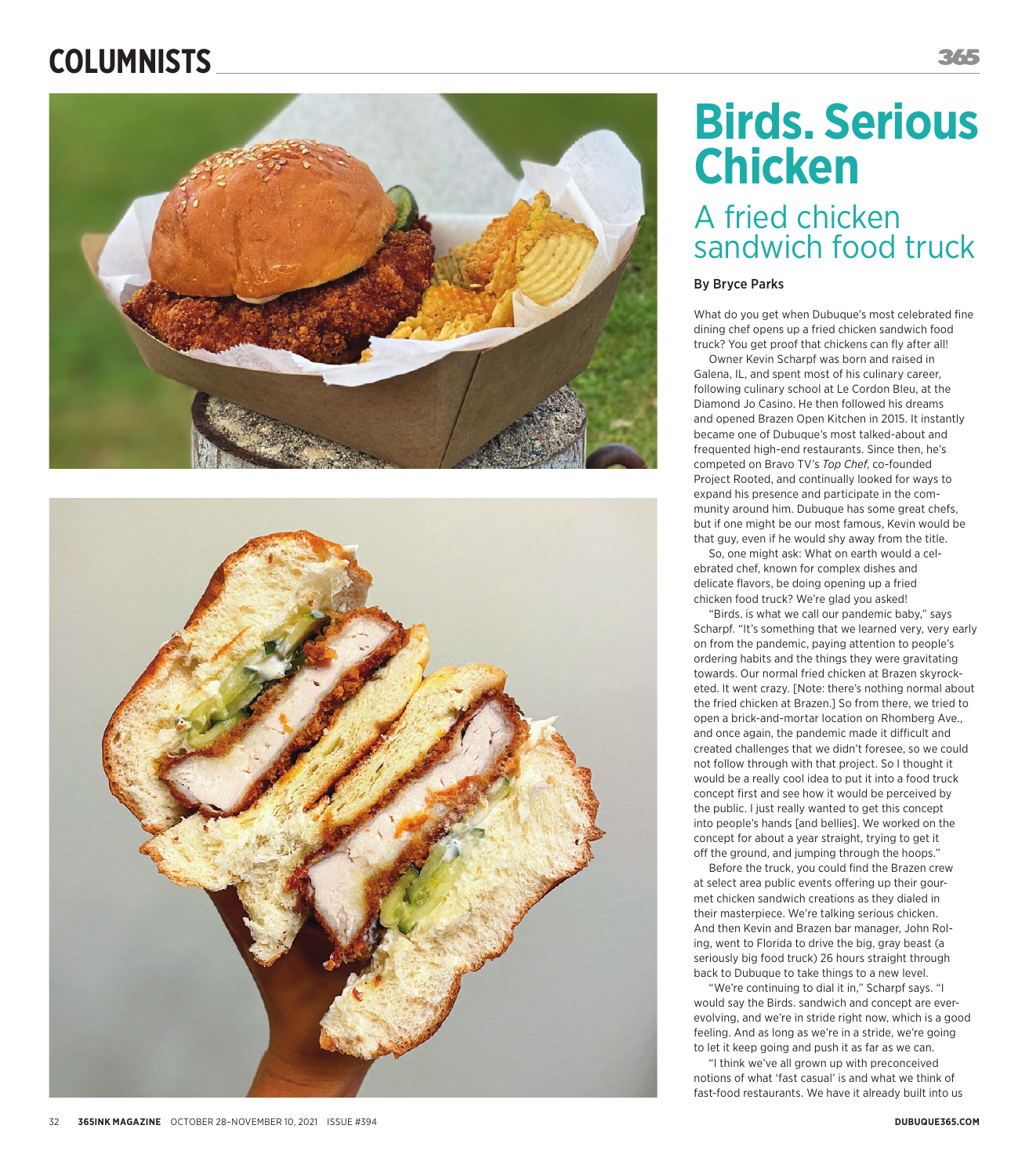## **COLUMNISTS**





# **Birds. Serious Chicken**

### A fried chicken sandwich food truck

#### By Bryce Parks

What do you get when Dubuque's most celebrated fine dining chef opens up a fried chicken sandwich food truck? You get proof that chickens can fly after all!

Owner Kevin Scharpf was born and raised in Galena, IL, and spent most of his culinary career, following culinary school at Le Cordon Bleu, at the Diamond Jo Casino. He then followed his dreams and opened Brazen Open Kitchen in 2015. It instantly became one of Dubuque's most talked-about and frequented high-end restaurants. Since then, he's competed on Bravo TV's *Top Chef*, co-founded Project Rooted, and continually looked for ways to expand his presence and participate in the com munity around him. Dubuque has some great chefs, but if one might be our most famous, Kevin would be that guy, even if he would shy away from the title.

So, one might ask: What on earth would a celebrated chef, known for complex dishes and delicate flavors, be doing opening up a fried chicken food truck? We're glad you asked!

"Birds. is what we call our pandemic baby," says Scharpf. "It's something that we learned very, very early on from the pandemic, paying attention to people's ordering habits and the things they were gravitating towards. Our normal fried chicken at Brazen skyrock eted. It went crazy. [Note: there's nothing normal about the fried chicken at Brazen.] So from there, we tried to open a brick-and-mortar location on Rhomberg Ave., and once again, the pandemic made it difficult and created challenges that we didn't foresee, so we could not follow through with that project. So I thought it would be a really cool idea to put it into a food truck concept first and see how it would be perceived by the public. I just really wanted to get this concept into people's hands [and bellies]. We worked on the concept for about a year straight, trying to get it off the ground, and jumping through the hoops."

Before the truck, you could find the Brazen crew at select area public events offering up their gourmet chicken sandwich creations as they dialed in their masterpiece. We're talking serious chicken. And then Kevin and Brazen bar manager, John Rol ing, went to Florida to drive the big, gray beast (a seriously big food truck) 26 hours straight through back to Dubuque to take things to a new level.

"We're continuing to dial it in," Scharpf says. "I would say the Birds. sandwich and concept are everevolving, and we're in stride right now, which is a good feeling. And as long as we're in a stride, we're going to let it keep going and push it as far as we can.

"I think we've all grown up with preconceived notions of what 'fast casual' is and what we think of fast-food restaurants. We have it already built into us